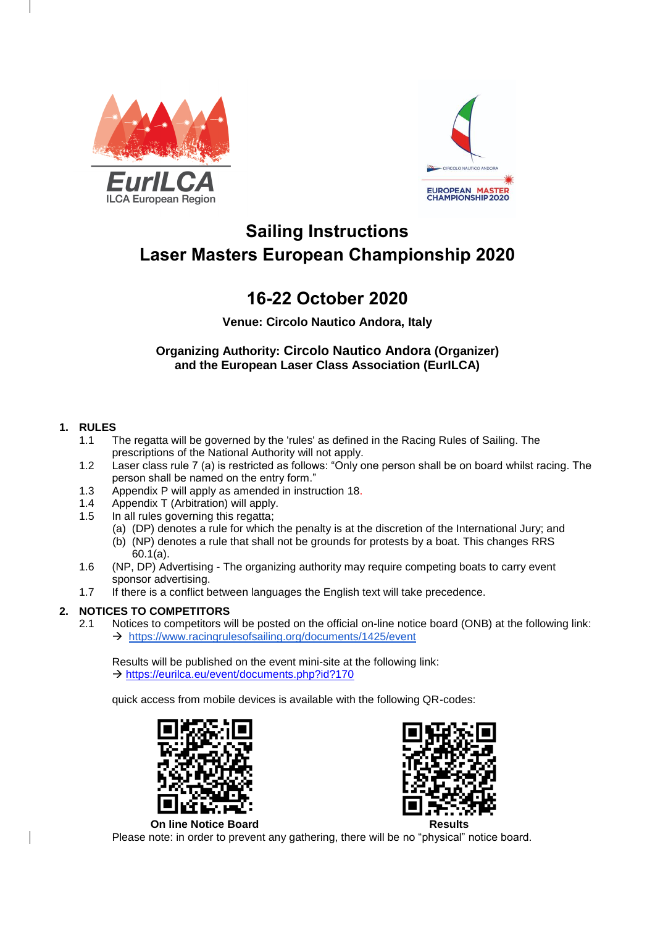



# **Sailing Instructions Laser Masters European Championship 2020**

# **16-22 October 2020**

**Venue: Circolo Nautico Andora, Italy**

**Organizing Authority: Circolo Nautico Andora (Organizer) and the European Laser Class Association (EurILCA)**

# **1. RULES**

- 1.1 The regatta will be governed by the 'rules' as defined in the Racing Rules of Sailing. The prescriptions of the National Authority will not apply.
- 1.2 Laser class rule 7 (a) is restricted as follows: "Only one person shall be on board whilst racing. The person shall be named on the entry form."
- 1.3 Appendix P will apply as amended in instruction 18.
- 1.4 Appendix T (Arbitration) will apply.
- 1.5 In all rules governing this regatta;
	- (a) (DP) denotes a rule for which the penalty is at the discretion of the International Jury; and (b) (NP) denotes a rule that shall not be grounds for protests by a boat. This changes RRS
- 60.1(a). 1.6 (NP, DP) Advertising - The organizing authority may require competing boats to carry event sponsor advertising.
- 1.7 If there is a conflict between languages the English text will take precedence.

# **2. NOTICES TO COMPETITORS**

2.1 Notices to competitors will be posted on the official on-line notice board (ONB) at the following link:  $\rightarrow$  <https://www.racingrulesofsailing.org/documents/1425/event>

Results will be published on the event mini-site at the following link: → <https://eurilca.eu/event/documents.php?id?170>

quick access from mobile devices is available with the following QR-codes:





**On line Notice Board Results** 

Please note: in order to prevent any gathering, there will be no "physical" notice board.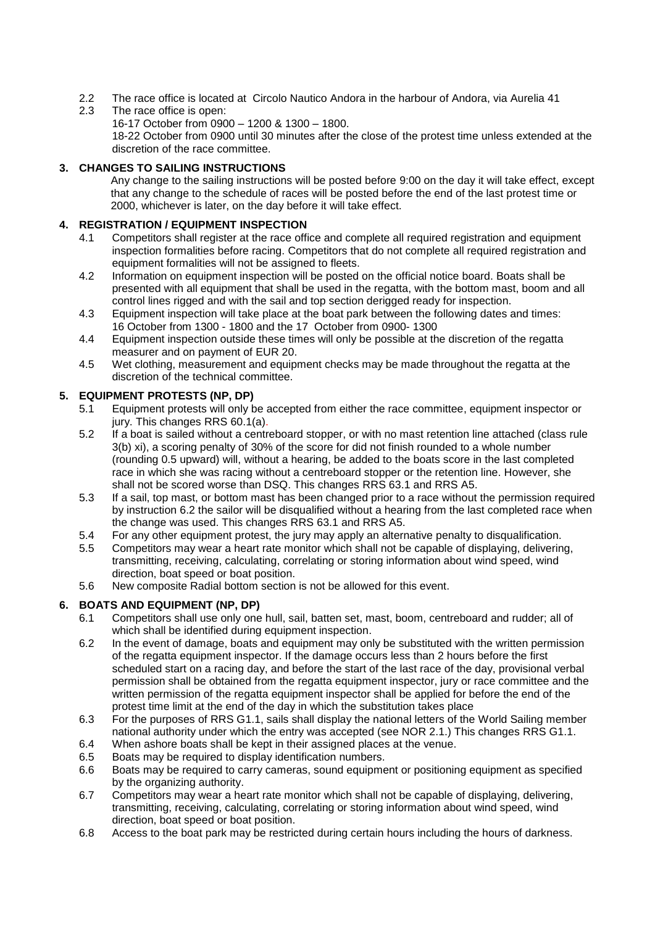- 2.2 The race office is located at Circolo Nautico Andora in the harbour of Andora, via Aurelia 41
- 2.3 The race office is open:

16-17 October from 0900 – 1200 & 1300 – 1800. 18-22 October from 0900 until 30 minutes after the close of the protest time unless extended at the discretion of the race committee.

# **3. CHANGES TO SAILING INSTRUCTIONS**

Any change to the sailing instructions will be posted before 9:00 on the day it will take effect, except that any change to the schedule of races will be posted before the end of the last protest time or 2000, whichever is later, on the day before it will take effect.

# **4. REGISTRATION / EQUIPMENT INSPECTION**

- 4.1 Competitors shall register at the race office and complete all required registration and equipment inspection formalities before racing. Competitors that do not complete all required registration and equipment formalities will not be assigned to fleets.
- 4.2 Information on equipment inspection will be posted on the official notice board. Boats shall be presented with all equipment that shall be used in the regatta, with the bottom mast, boom and all control lines rigged and with the sail and top section derigged ready for inspection.
- 4.3 Equipment inspection will take place at the boat park between the following dates and times: 16 October from 1300 - 1800 and the 17 October from 0900- 1300
- 4.4 Equipment inspection outside these times will only be possible at the discretion of the regatta measurer and on payment of EUR 20.
- 4.5 Wet clothing, measurement and equipment checks may be made throughout the regatta at the discretion of the technical committee.

# **5. EQUIPMENT PROTESTS (NP, DP)**

- 5.1 Equipment protests will only be accepted from either the race committee, equipment inspector or jury. This changes RRS 60.1(a).
- 5.2 If a boat is sailed without a centreboard stopper, or with no mast retention line attached (class rule 3(b) xi), a scoring penalty of 30% of the score for did not finish rounded to a whole number (rounding 0.5 upward) will, without a hearing, be added to the boats score in the last completed race in which she was racing without a centreboard stopper or the retention line. However, she shall not be scored worse than DSQ. This changes RRS 63.1 and RRS A5.
- 5.3 If a sail, top mast, or bottom mast has been changed prior to a race without the permission required by instruction 6.2 the sailor will be disqualified without a hearing from the last completed race when the change was used. This changes RRS 63.1 and RRS A5.
- 5.4 For any other equipment protest, the jury may apply an alternative penalty to disqualification.
- 5.5 Competitors may wear a heart rate monitor which shall not be capable of displaying, delivering, transmitting, receiving, calculating, correlating or storing information about wind speed, wind direction, boat speed or boat position.
- 5.6 New composite Radial bottom section is not be allowed for this event.

# **6. BOATS AND EQUIPMENT (NP, DP)**

- 6.1 Competitors shall use only one hull, sail, batten set, mast, boom, centreboard and rudder; all of which shall be identified during equipment inspection.
- 6.2 In the event of damage, boats and equipment may only be substituted with the written permission of the regatta equipment inspector. If the damage occurs less than 2 hours before the first scheduled start on a racing day, and before the start of the last race of the day, provisional verbal permission shall be obtained from the regatta equipment inspector, jury or race committee and the written permission of the regatta equipment inspector shall be applied for before the end of the protest time limit at the end of the day in which the substitution takes place
- 6.3 For the purposes of RRS G1.1, sails shall display the national letters of the World Sailing member national authority under which the entry was accepted (see NOR 2.1.) This changes RRS G1.1.
- 6.4 When ashore boats shall be kept in their assigned places at the venue.
- 6.5 Boats may be required to display identification numbers.
- 6.6 Boats may be required to carry cameras, sound equipment or positioning equipment as specified by the organizing authority.
- 6.7 Competitors may wear a heart rate monitor which shall not be capable of displaying, delivering, transmitting, receiving, calculating, correlating or storing information about wind speed, wind direction, boat speed or boat position.
- 6.8 Access to the boat park may be restricted during certain hours including the hours of darkness.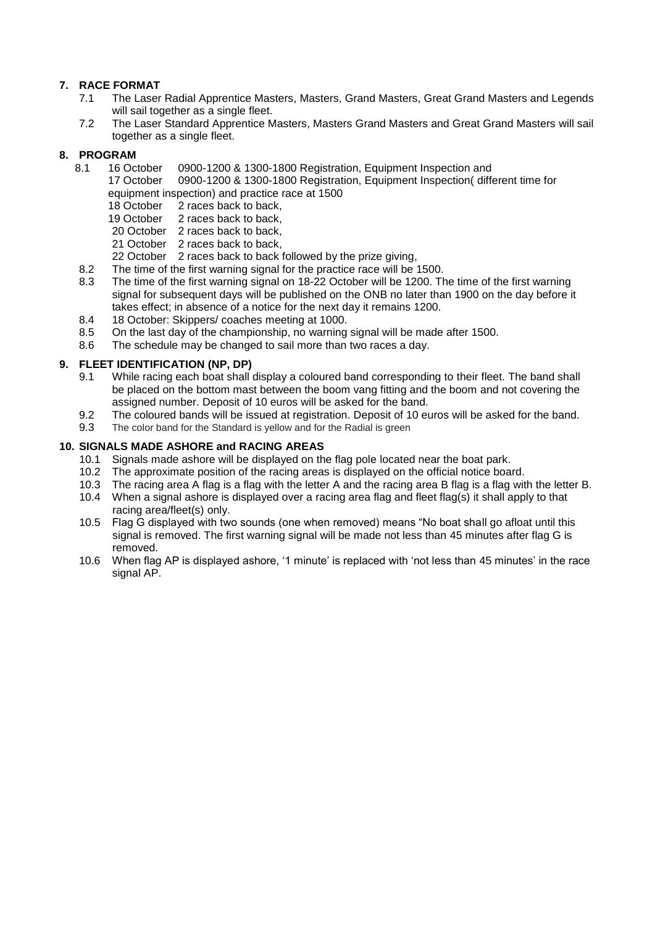# **7. RACE FORMAT**

- 7.1 The Laser Radial Apprentice Masters, Masters, Grand Masters, Great Grand Masters and Legends will sail together as a single fleet.
- 7.2 The Laser Standard Apprentice Masters, Masters Grand Masters and Great Grand Masters will sail together as a single fleet.

# **8. PROGRAM**

- 8.1 16 October 0900-1200 & 1300-1800 Registration, Equipment Inspection and
	- 17 October 0900-1200 & 1300-1800 Registration, Equipment Inspection( different time for equipment inspection) and practice race at 1500
		- 18 October 2 races back to back.
		- 19 October 2 races back to back,
		- 20 October 2 races back to back,
		- 21 October 2 races back to back.
	- 22 October 2 races back to back followed by the prize giving,
- 8.2 The time of the first warning signal for the practice race will be 1500.
- 8.3 The time of the first warning signal on 18-22 October will be 1200. The time of the first warning signal for subsequent days will be published on the ONB no later than 1900 on the day before it takes effect; in absence of a notice for the next day it remains 1200.
- 8.4 18 October: Skippers/ coaches meeting at 1000.
- 8.5 On the last day of the championship, no warning signal will be made after 1500.
- 8.6 The schedule may be changed to sail more than two races a day.

# **9. FLEET IDENTIFICATION (NP, DP)**

- 9.1 While racing each boat shall display a coloured band corresponding to their fleet. The band shall be placed on the bottom mast between the boom vang fitting and the boom and not covering the assigned number. Deposit of 10 euros will be asked for the band.
- 9.2 The coloured bands will be issued at registration. Deposit of 10 euros will be asked for the band.<br>9.3 The color band for the Standard is vellow and for the Radial is green
- The color band for the Standard is yellow and for the Radial is green

# **10. SIGNALS MADE ASHORE and RACING AREAS**

- 10.1 Signals made ashore will be displayed on the flag pole located near the boat park.
- 10.2 The approximate position of the racing areas is displayed on the official notice board.
- 10.3 The racing area A flag is a flag with the letter A and the racing area B flag is a flag with the letter B.
- 10.4 When a signal ashore is displayed over a racing area flag and fleet flag(s) it shall apply to that racing area/fleet(s) only.
- 10.5 Flag G displayed with two sounds (one when removed) means "No boat shall go afloat until this signal is removed. The first warning signal will be made not less than 45 minutes after flag G is removed.
- 10.6 When flag AP is displayed ashore, '1 minute' is replaced with 'not less than 45 minutes' in the race signal AP.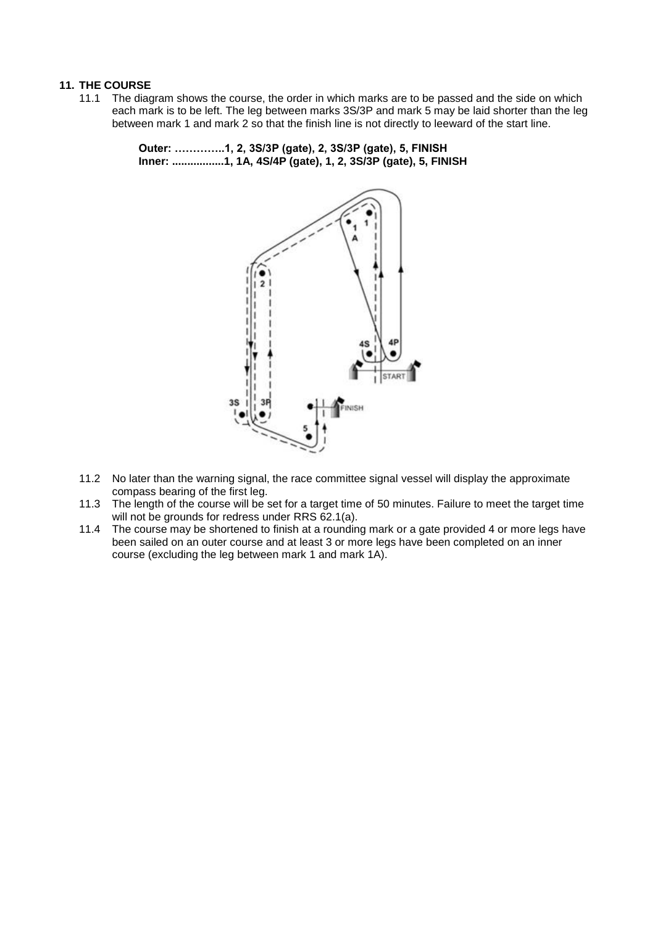## **11. THE COURSE**

11.1 The diagram shows the course, the order in which marks are to be passed and the side on which each mark is to be left. The leg between marks 3S/3P and mark 5 may be laid shorter than the leg between mark 1 and mark 2 so that the finish line is not directly to leeward of the start line.

> **Outer: …………..1, 2, 3S/3P (gate), 2, 3S/3P (gate), 5, FINISH Inner: .................1, 1A, 4S/4P (gate), 1, 2, 3S/3P (gate), 5, FINISH**



- 11.2 No later than the warning signal, the race committee signal vessel will display the approximate compass bearing of the first leg.
- 11.3 The length of the course will be set for a target time of 50 minutes. Failure to meet the target time will not be grounds for redress under RRS 62.1(a).
- 11.4 The course may be shortened to finish at a rounding mark or a gate provided 4 or more legs have been sailed on an outer course and at least 3 or more legs have been completed on an inner course (excluding the leg between mark 1 and mark 1A).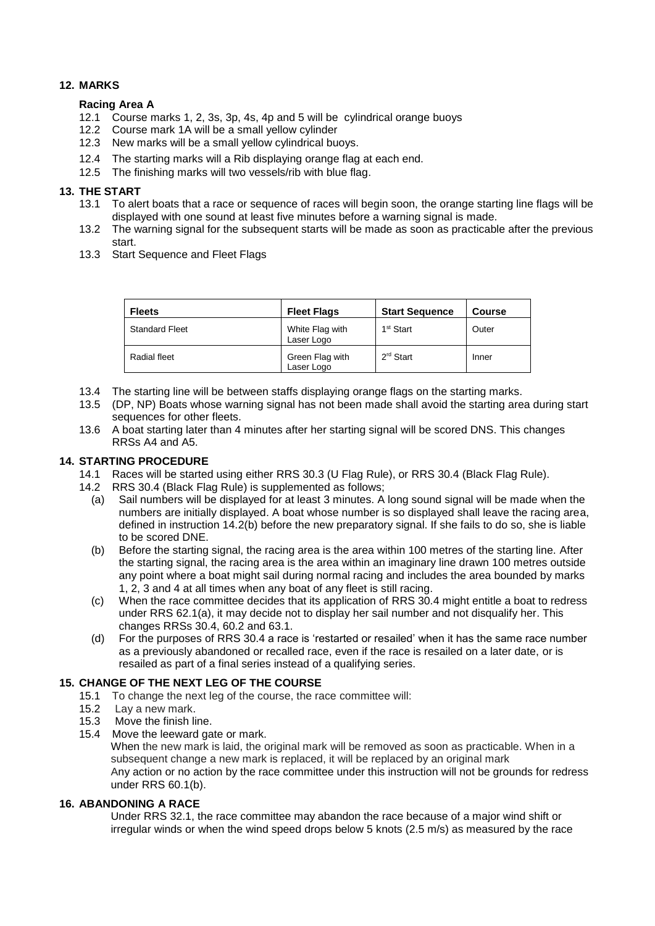# **12. MARKS**

## **Racing Area A**

- 12.1 Course marks 1, 2, 3s, 3p, 4s, 4p and 5 will be cylindrical orange buoys
- 12.2 Course mark 1A will be a small yellow cylinder
- 12.3 New marks will be a small yellow cylindrical buoys.
- 12.4 The starting marks will a Rib displaying orange flag at each end.
- 12.5 The finishing marks will two vessels/rib with blue flag.

## **13. THE START**

- 13.1 To alert boats that a race or sequence of races will begin soon, the orange starting line flags will be displayed with one sound at least five minutes before a warning signal is made.
- 13.2 The warning signal for the subsequent starts will be made as soon as practicable after the previous start.
- 13.3 Start Sequence and Fleet Flags

| <b>Fleets</b>         | <b>Fleet Flags</b>            | <b>Start Sequence</b> | <b>Course</b> |
|-----------------------|-------------------------------|-----------------------|---------------|
| <b>Standard Fleet</b> | White Flag with<br>Laser Logo | 1 <sup>st</sup> Start | Outer         |
| Radial fleet          | Green Flag with<br>Laser Logo | $2rd$ Start           | Inner         |

- 13.4 The starting line will be between staffs displaying orange flags on the starting marks.
- 13.5 (DP, NP) Boats whose warning signal has not been made shall avoid the starting area during start sequences for other fleets.
- 13.6 A boat starting later than 4 minutes after her starting signal will be scored DNS. This changes RRSs A4 and A5.

## **14. STARTING PROCEDURE**

- 14.1 Races will be started using either RRS 30.3 (U Flag Rule), or RRS 30.4 (Black Flag Rule).
- 14.2 RRS 30.4 (Black Flag Rule) is supplemented as follows;
	- (a) Sail numbers will be displayed for at least 3 minutes. A long sound signal will be made when the numbers are initially displayed. A boat whose number is so displayed shall leave the racing area, defined in instruction 14.2(b) before the new preparatory signal. If she fails to do so, she is liable to be scored DNE.
	- (b) Before the starting signal, the racing area is the area within 100 metres of the starting line. After the starting signal, the racing area is the area within an imaginary line drawn 100 metres outside any point where a boat might sail during normal racing and includes the area bounded by marks 1, 2, 3 and 4 at all times when any boat of any fleet is still racing.
	- (c) When the race committee decides that its application of RRS 30.4 might entitle a boat to redress under RRS 62.1(a), it may decide not to display her sail number and not disqualify her. This changes RRSs 30.4, 60.2 and 63.1.
	- (d) For the purposes of RRS 30.4 a race is 'restarted or resailed' when it has the same race number as a previously abandoned or recalled race, even if the race is resailed on a later date, or is resailed as part of a final series instead of a qualifying series.

## **15. CHANGE OF THE NEXT LEG OF THE COURSE**

- 15.1 To change the next leg of the course, the race committee will:
- 15.2 Lay a new mark.
- 15.3 Move the finish line.
- 15.4 Move the leeward gate or mark.

When the new mark is laid, the original mark will be removed as soon as practicable. When in a subsequent change a new mark is replaced, it will be replaced by an original mark Any action or no action by the race committee under this instruction will not be grounds for redress under RRS 60.1(b).

#### **16. ABANDONING A RACE**

Under RRS 32.1, the race committee may abandon the race because of a major wind shift or irregular winds or when the wind speed drops below 5 knots (2.5 m/s) as measured by the race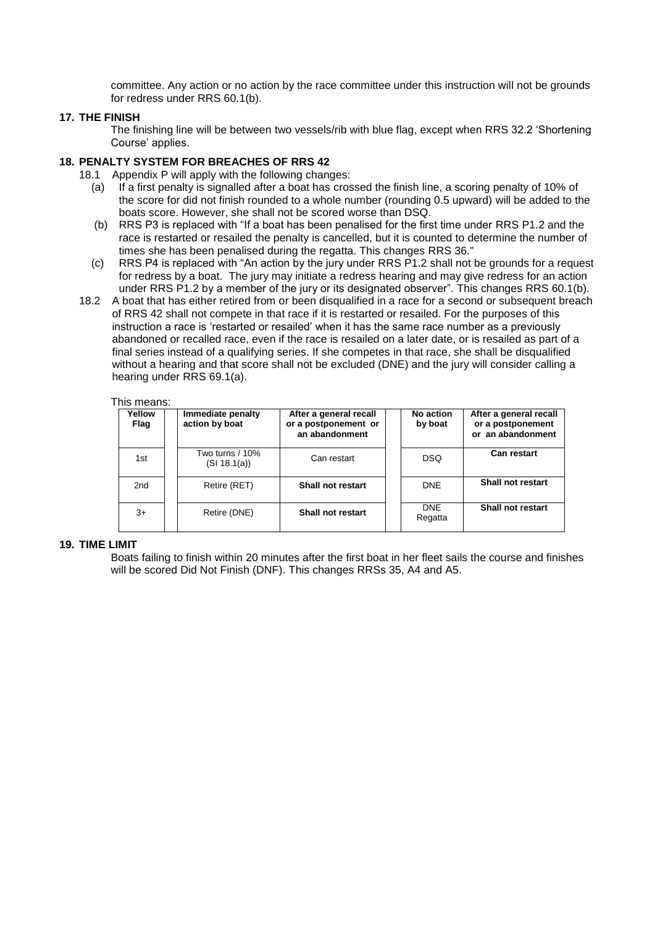committee. Any action or no action by the race committee under this instruction will not be grounds for redress under RRS 60.1(b).

## **17. THE FINISH**

The finishing line will be between two vessels/rib with blue flag, except when RRS 32.2 'Shortening Course' applies.

## **18. PENALTY SYSTEM FOR BREACHES OF RRS 42**

- 18.1 Appendix P will apply with the following changes:
	- (a) If a first penalty is signalled after a boat has crossed the finish line, a scoring penalty of 10% of the score for did not finish rounded to a whole number (rounding 0.5 upward) will be added to the boats score. However, she shall not be scored worse than DSQ.
	- (b) RRS P3 is replaced with "If a boat has been penalised for the first time under RRS P1.2 and the race is restarted or resailed the penalty is cancelled, but it is counted to determine the number of times she has been penalised during the regatta. This changes RRS 36."
	- (c) RRS P4 is replaced with "An action by the jury under RRS P1.2 shall not be grounds for a request for redress by a boat. The jury may initiate a redress hearing and may give redress for an action under RRS P1.2 by a member of the jury or its designated observer". This changes RRS 60.1(b).
- 18.2 A boat that has either retired from or been disqualified in a race for a second or subsequent breach of RRS 42 shall not compete in that race if it is restarted or resailed. For the purposes of this instruction a race is 'restarted or resailed' when it has the same race number as a previously abandoned or recalled race, even if the race is resailed on a later date, or is resailed as part of a final series instead of a qualifying series. If she competes in that race, she shall be disqualified without a hearing and that score shall not be excluded (DNE) and the jury will consider calling a hearing under RRS 69.1(a).

#### This means:

| Yellow<br>Flag  | Immediate penalty<br>action by boat | After a general recall<br>or a postponement or<br>an abandonment | No action<br>by boat  | After a general recall<br>or a postponement<br>or an abandonment |
|-----------------|-------------------------------------|------------------------------------------------------------------|-----------------------|------------------------------------------------------------------|
| 1st             | Two turns / 10%<br>(SI 18.1(a))     | Can restart                                                      | <b>DSQ</b>            | <b>Can restart</b>                                               |
| 2 <sub>nd</sub> | Retire (RET)                        | Shall not restart                                                | <b>DNE</b>            | <b>Shall not restart</b>                                         |
| 3+              | Retire (DNE)                        | Shall not restart                                                | <b>DNE</b><br>Regatta | <b>Shall not restart</b>                                         |

## **19. TIME LIMIT**

Boats failing to finish within 20 minutes after the first boat in her fleet sails the course and finishes will be scored Did Not Finish (DNF). This changes RRSs 35, A4 and A5.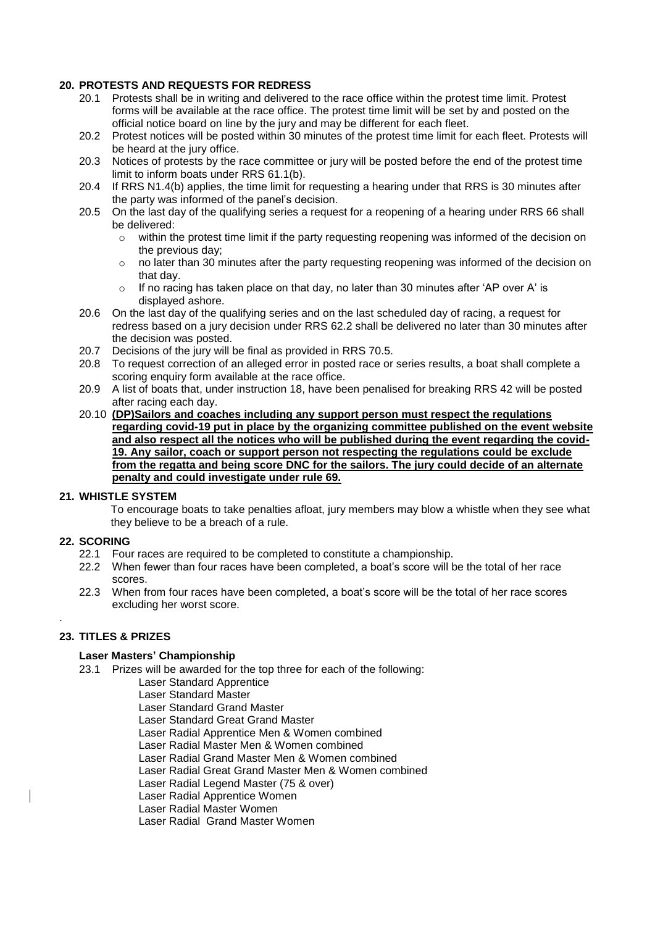## **20. PROTESTS AND REQUESTS FOR REDRESS**

- 20.1 Protests shall be in writing and delivered to the race office within the protest time limit. Protest forms will be available at the race office. The protest time limit will be set by and posted on the official notice board on line by the jury and may be different for each fleet.
- 20.2 Protest notices will be posted within 30 minutes of the protest time limit for each fleet. Protests will be heard at the jury office.
- 20.3 Notices of protests by the race committee or jury will be posted before the end of the protest time limit to inform boats under RRS 61.1(b).
- 20.4 If RRS N1.4(b) applies, the time limit for requesting a hearing under that RRS is 30 minutes after the party was informed of the panel's decision.
- 20.5 On the last day of the qualifying series a request for a reopening of a hearing under RRS 66 shall be delivered:
	- $\circ$  within the protest time limit if the party requesting reopening was informed of the decision on the previous day;
	- $\circ$  no later than 30 minutes after the party requesting reopening was informed of the decision on that day.
	- $\circ$  If no racing has taken place on that day, no later than 30 minutes after 'AP over A' is displayed ashore.
- 20.6 On the last day of the qualifying series and on the last scheduled day of racing, a request for redress based on a jury decision under RRS 62.2 shall be delivered no later than 30 minutes after the decision was posted.
- 20.7 Decisions of the jury will be final as provided in RRS 70.5.
- 20.8 To request correction of an alleged error in posted race or series results, a boat shall complete a scoring enquiry form available at the race office.
- 20.9 A list of boats that, under instruction 18, have been penalised for breaking RRS 42 will be posted after racing each day.
- 20.10 **(DP)Sailors and coaches including any support person must respect the regulations regarding covid-19 put in place by the organizing committee published on the event website and also respect all the notices who will be published during the event regarding the covid-19. Any sailor, coach or support person not respecting the regulations could be exclude from the regatta and being score DNC for the sailors. The jury could decide of an alternate penalty and could investigate under rule 69.**

## **21. WHISTLE SYSTEM**

To encourage boats to take penalties afloat, jury members may blow a whistle when they see what they believe to be a breach of a rule.

## **22. SCORING**

.

- 22.1 Four races are required to be completed to constitute a championship.
- 22.2 When fewer than four races have been completed, a boat's score will be the total of her race scores.
- 22.3 When from four races have been completed, a boat's score will be the total of her race scores excluding her worst score.

## **23. TITLES & PRIZES**

#### **Laser Masters' Championship**

- 23.1 Prizes will be awarded for the top three for each of the following:
	- Laser Standard Apprentice
		- Laser Standard Master
		- Laser Standard Grand Master
		- Laser Standard Great Grand Master
		- Laser Radial Apprentice Men & Women combined
		- Laser Radial Master Men & Women combined
		- Laser Radial Grand Master Men & Women combined
		- Laser Radial Great Grand Master Men & Women combined
		- Laser Radial Legend Master (75 & over)

Laser Radial Apprentice Women

Laser Radial Master Women

Laser Radial Grand Master Women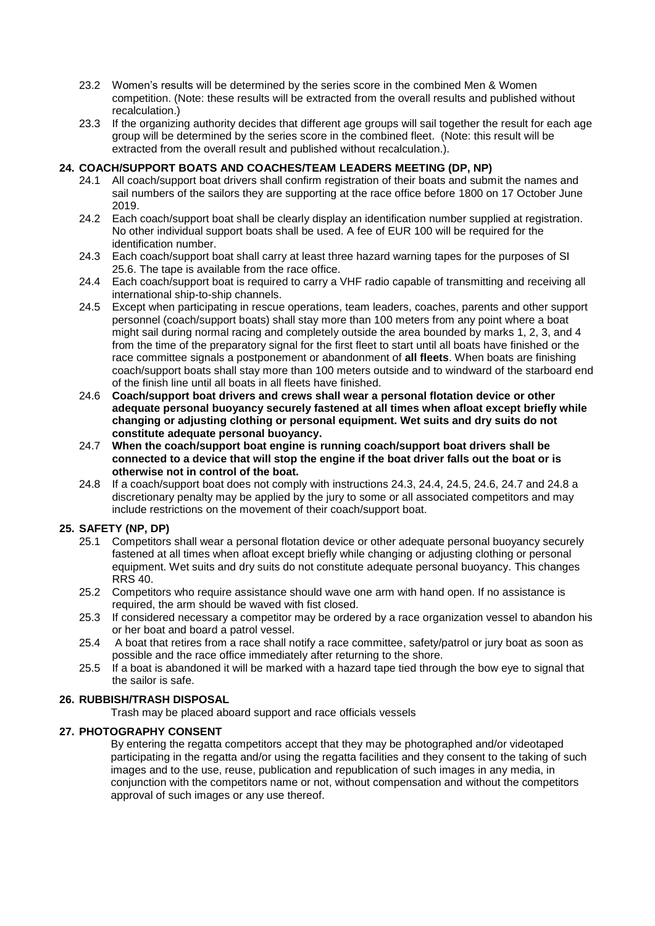- 23.2 Women's results will be determined by the series score in the combined Men & Women competition. (Note: these results will be extracted from the overall results and published without recalculation.)
- 23.3 If the organizing authority decides that different age groups will sail together the result for each age group will be determined by the series score in the combined fleet. (Note: this result will be extracted from the overall result and published without recalculation.).

## **24. COACH/SUPPORT BOATS AND COACHES/TEAM LEADERS MEETING (DP, NP)**

- 24.1 All coach/support boat drivers shall confirm registration of their boats and submit the names and sail numbers of the sailors they are supporting at the race office before 1800 on 17 October June 2019.
- 24.2 Each coach/support boat shall be clearly display an identification number supplied at registration. No other individual support boats shall be used. A fee of EUR 100 will be required for the identification number.
- 24.3 Each coach/support boat shall carry at least three hazard warning tapes for the purposes of SI 25.6. The tape is available from the race office.
- 24.4 Each coach/support boat is required to carry a VHF radio capable of transmitting and receiving all international ship-to-ship channels.
- 24.5 Except when participating in rescue operations, team leaders, coaches, parents and other support personnel (coach/support boats) shall stay more than 100 meters from any point where a boat might sail during normal racing and completely outside the area bounded by marks 1, 2, 3, and 4 from the time of the preparatory signal for the first fleet to start until all boats have finished or the race committee signals a postponement or abandonment of **all fleets**. When boats are finishing coach/support boats shall stay more than 100 meters outside and to windward of the starboard end of the finish line until all boats in all fleets have finished.
- 24.6 **Coach/support boat drivers and crews shall wear a personal flotation device or other adequate personal buoyancy securely fastened at all times when afloat except briefly while changing or adjusting clothing or personal equipment. Wet suits and dry suits do not constitute adequate personal buoyancy.**
- 24.7 **When the coach/support boat engine is running coach/support boat drivers shall be connected to a device that will stop the engine if the boat driver falls out the boat or is otherwise not in control of the boat.**
- 24.8 If a coach/support boat does not comply with instructions 24.3, 24.4, 24.5, 24.6, 24.7 and 24.8 a discretionary penalty may be applied by the jury to some or all associated competitors and may include restrictions on the movement of their coach/support boat.

## **25. SAFETY (NP, DP)**

- 25.1 Competitors shall wear a personal flotation device or other adequate personal buoyancy securely fastened at all times when afloat except briefly while changing or adjusting clothing or personal equipment. Wet suits and dry suits do not constitute adequate personal buoyancy. This changes RRS 40.
- 25.2 Competitors who require assistance should wave one arm with hand open. If no assistance is required, the arm should be waved with fist closed.
- 25.3 If considered necessary a competitor may be ordered by a race organization vessel to abandon his or her boat and board a patrol vessel.
- 25.4 A boat that retires from a race shall notify a race committee, safety/patrol or jury boat as soon as possible and the race office immediately after returning to the shore.
- 25.5 If a boat is abandoned it will be marked with a hazard tape tied through the bow eye to signal that the sailor is safe.

## **26. RUBBISH/TRASH DISPOSAL**

Trash may be placed aboard support and race officials vessels

## **27. PHOTOGRAPHY CONSENT**

By entering the regatta competitors accept that they may be photographed and/or videotaped participating in the regatta and/or using the regatta facilities and they consent to the taking of such images and to the use, reuse, publication and republication of such images in any media, in conjunction with the competitors name or not, without compensation and without the competitors approval of such images or any use thereof.